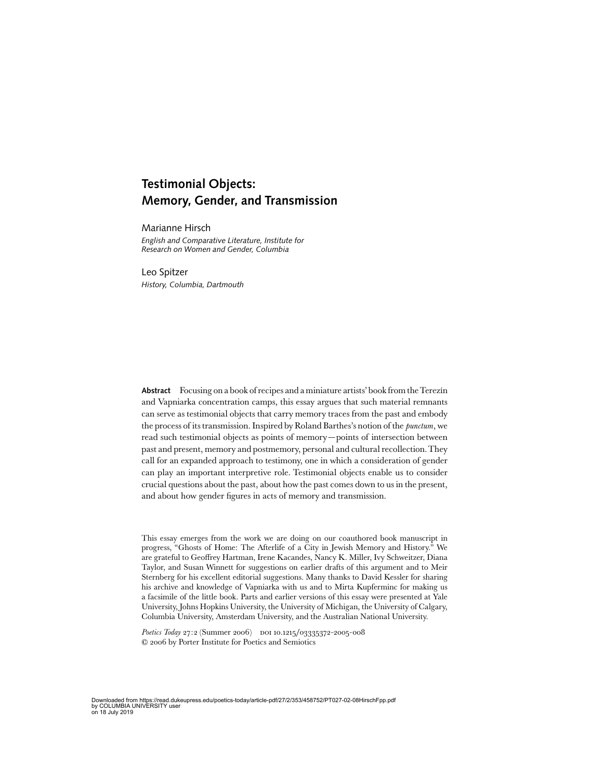# Testimonial Objects: Memory, Gender, and Transmission

## Marianne Hirsch

English and Comparative Literature, Institute for Research on Women and Gender, Columbia

Leo Spitzer History, Columbia, Dartmouth

Abstract Focusing on a book of recipes and a miniature artists' book from the Terezín and Vapniarka concentration camps, this essay argues that such material remnants can serve as testimonial objects that carry memory traces from the past and embody the process of its transmission. Inspired by Roland Barthes's notion of the *punctum*, we read such testimonial objects as points of memory—points of intersection between past and present, memory and postmemory, personal and cultural recollection.They call for an expanded approach to testimony, one in which a consideration of gender can play an important interpretive role. Testimonial objects enable us to consider crucial questions about the past, about how the past comes down to us in the present, and about how gender figures in acts of memory and transmission.

This essay emerges from the work we are doing on our coauthored book manuscript in progress, ''Ghosts of Home: The Afterlife of a City in Jewish Memory and History.'' We are grateful to Geoffrey Hartman, Irene Kacandes, Nancy K. Miller, Ivy Schweitzer, Diana Taylor, and Susan Winnett for suggestions on earlier drafts of this argument and to Meir Sternberg for his excellent editorial suggestions. Many thanks to David Kessler for sharing his archive and knowledge of Vapniarka with us and to Mirta Kupferminc for making us a facsimile of the little book. Parts and earlier versions of this essay were presented at Yale University, Johns Hopkins University, the University of Michigan, the University of Calgary, Columbia University, Amsterdam University, and the Australian National University.

Poetics Today 27:2 (Summer 2006) DOI 10.1215/03335372-2005-008 © 2006 by Porter Institute for Poetics and Semiotics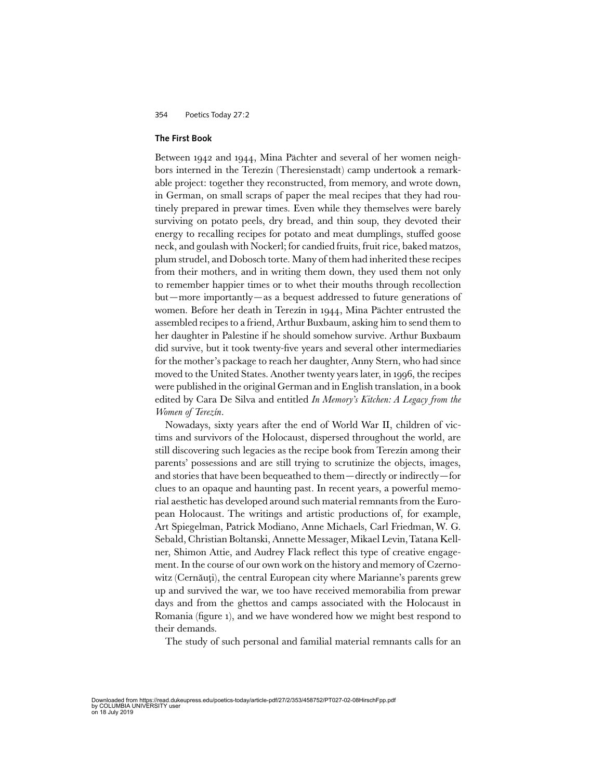## The First Book

Between 1942 and 1944, Mina Pächter and several of her women neighbors interned in the Terezín (Theresienstadt) camp undertook a remarkable project: together they reconstructed, from memory, and wrote down, in German, on small scraps of paper the meal recipes that they had routinely prepared in prewar times. Even while they themselves were barely surviving on potato peels, dry bread, and thin soup, they devoted their energy to recalling recipes for potato and meat dumplings, stuffed goose neck, and goulash with Nockerl; for candied fruits, fruit rice, baked matzos, plum strudel, and Dobosch torte. Many of them had inherited these recipes from their mothers, and in writing them down, they used them not only to remember happier times or to whet their mouths through recollection but—more importantly—as a bequest addressed to future generations of women. Before her death in Terezín in 1944, Mina Pächter entrusted the assembled recipes to a friend, Arthur Buxbaum, asking him to send them to her daughter in Palestine if he should somehow survive. Arthur Buxbaum did survive, but it took twenty-five years and several other intermediaries for the mother's package to reach her daughter, Anny Stern, who had since moved to the United States. Another twenty years later, in 1996, the recipes were published in the original German and in English translation, in a book edited by Cara De Silva and entitled In Memory's Kitchen: A Legacy from the Women of Terezín.

Nowadays, sixty years after the end of World War II, children of victims and survivors of the Holocaust, dispersed throughout the world, are still discovering such legacies as the recipe book from Terezín among their parents' possessions and are still trying to scrutinize the objects, images, and stories that have been bequeathed to them—directly or indirectly—for clues to an opaque and haunting past. In recent years, a powerful memorial aesthetic has developed around such material remnants from the European Holocaust. The writings and artistic productions of, for example, Art Spiegelman, Patrick Modiano, Anne Michaels, Carl Friedman, W. G. Sebald, Christian Boltanski, Annette Messager, Mikael Levin,Tatana Kellner, Shimon Attie, and Audrey Flack reflect this type of creative engagement. In the course of our own work on the history and memory of Czernowitz (Cernăuți), the central European city where Marianne's parents grew up and survived the war, we too have received memorabilia from prewar days and from the ghettos and camps associated with the Holocaust in Romania (figure 1), and we have wondered how we might best respond to their demands.

The study of such personal and familial material remnants calls for an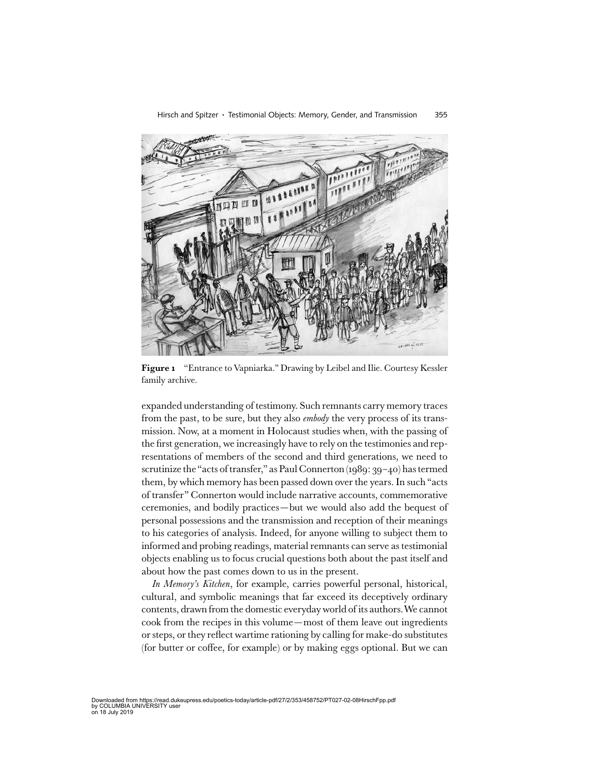

Figure 1 ''Entrance to Vapniarka.'' Drawing by Leibel and Ilie. Courtesy Kessler family archive.

expanded understanding of testimony. Such remnants carry memory traces from the past, to be sure, but they also embody the very process of its transmission. Now, at a moment in Holocaust studies when, with the passing of the first generation, we increasingly have to rely on the testimonies and representations of members of the second and third generations, we need to scrutinize the "acts of transfer," as Paul Connerton (1989: 39-40) has termed them, by which memory has been passed down over the years. In such ''acts of transfer'' Connerton would include narrative accounts, commemorative ceremonies, and bodily practices—but we would also add the bequest of personal possessions and the transmission and reception of their meanings to his categories of analysis. Indeed, for anyone willing to subject them to informed and probing readings, material remnants can serve as testimonial objects enabling us to focus crucial questions both about the past itself and about how the past comes down to us in the present.

In Memory's Kitchen, for example, carries powerful personal, historical, cultural, and symbolic meanings that far exceed its deceptively ordinary contents, drawn from the domestic everyday world of its authors.We cannot cook from the recipes in this volume—most of them leave out ingredients or steps, or they reflect wartime rationing by calling for make-do substitutes (for butter or coffee, for example) or by making eggs optional. But we can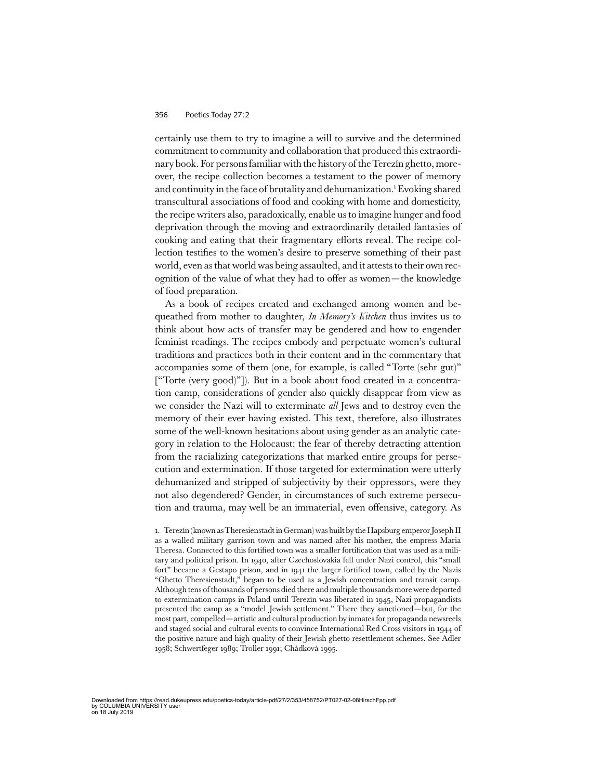certainly use them to try to imagine a will to survive and the determined commitment to community and collaboration that produced this extraordinary book. For persons familiar with the history of the Terezín ghetto, moreover, the recipe collection becomes a testament to the power of memory and continuity in the face of brutality and dehumanization.<sup>1</sup> Evoking shared transcultural associations of food and cooking with home and domesticity, the recipe writers also, paradoxically, enable us to imagine hunger and food deprivation through the moving and extraordinarily detailed fantasies of cooking and eating that their fragmentary efforts reveal. The recipe collection testifies to the women's desire to preserve something of their past world, even as that world was being assaulted, and it attests to their own recognition of the value of what they had to offer as women—the knowledge of food preparation.

As a book of recipes created and exchanged among women and bequeathed from mother to daughter, In Memory's Kitchen thus invites us to think about how acts of transfer may be gendered and how to engender feminist readings. The recipes embody and perpetuate women's cultural traditions and practices both in their content and in the commentary that accompanies some of them (one, for example, is called ''Torte (sehr gut)'' [''Torte (very good)'']). But in a book about food created in a concentration camp, considerations of gender also quickly disappear from view as we consider the Nazi will to exterminate all Jews and to destroy even the memory of their ever having existed. This text, therefore, also illustrates some of the well-known hesitations about using gender as an analytic category in relation to the Holocaust: the fear of thereby detracting attention from the racializing categorizations that marked entire groups for persecution and extermination. If those targeted for extermination were utterly dehumanized and stripped of subjectivity by their oppressors, were they not also degendered? Gender, in circumstances of such extreme persecution and trauma, may well be an immaterial, even offensive, category. As

1. Terezín (known asTheresienstadt in German) was built by the Hapsburg emperor Joseph II as a walled military garrison town and was named after his mother, the empress Maria Theresa. Connected to this fortified town was a smaller fortification that was used as a military and political prison. In 1940, after Czechoslovakia fell under Nazi control, this ''small fort'' became a Gestapo prison, and in 1941 the larger fortified town, called by the Nazis ''Ghetto Theresienstadt,'' began to be used as a Jewish concentration and transit camp. Although tens of thousands of persons died there and multiple thousands more were deported to extermination camps in Poland until Terezín was liberated in 1945, Nazi propagandists presented the camp as a ''model Jewish settlement.'' There they sanctioned—but, for the most part, compelled—artistic and cultural production by inmates for propaganda newsreels and staged social and cultural events to convince International Red Cross visitors in 1944 of the positive nature and high quality of their Jewish ghetto resettlement schemes. See Adler 1958; Schwertfeger 1989; Troller 1991; Chádková 1995.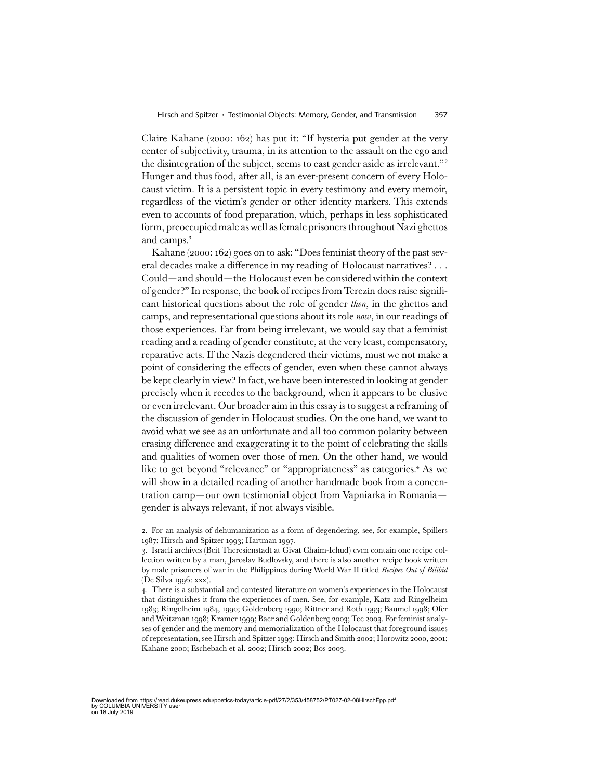Claire Kahane (2000: 162) has put it: ''If hysteria put gender at the very center of subjectivity, trauma, in its attention to the assault on the ego and the disintegration of the subject, seems to cast gender aside as irrelevant.''2 Hunger and thus food, after all, is an ever-present concern of every Holocaust victim. It is a persistent topic in every testimony and every memoir, regardless of the victim's gender or other identity markers. This extends even to accounts of food preparation, which, perhaps in less sophisticated form, preoccupied male as well as female prisoners throughout Nazi ghettos and camps.<sup>3</sup>

Kahane (2000: 162) goes on to ask: ''Does feminist theory of the past several decades make a difference in my reading of Holocaust narratives?... Could—and should—the Holocaust even be considered within the context of gender?'' In response, the book of recipes from Terezín does raise significant historical questions about the role of gender then, in the ghettos and camps, and representational questions about its role now, in our readings of those experiences. Far from being irrelevant, we would say that a feminist reading and a reading of gender constitute, at the very least, compensatory, reparative acts. If the Nazis degendered their victims, must we not make a point of considering the effects of gender, even when these cannot always be kept clearly in view? In fact, we have been interested in looking at gender precisely when it recedes to the background, when it appears to be elusive or even irrelevant. Our broader aim in this essay is to suggest a reframing of the discussion of gender in Holocaust studies. On the one hand, we want to avoid what we see as an unfortunate and all too common polarity between erasing difference and exaggerating it to the point of celebrating the skills and qualities of women over those of men. On the other hand, we would like to get beyond "relevance" or "appropriateness" as categories.<sup>4</sup> As we will show in a detailed reading of another handmade book from a concentration camp—our own testimonial object from Vapniarka in Romania gender is always relevant, if not always visible.

2. For an analysis of dehumanization as a form of degendering, see, for example, Spillers 1987; Hirsch and Spitzer 1993; Hartman 1997.

3. Israeli archives (Beit Theresienstadt at Givat Chaim-Ichud) even contain one recipe collection written by a man, Jaroslav Budlovsky, and there is also another recipe book written by male prisoners of war in the Philippines during World War II titled Recipes Out of Bilibid (De Silva 1996: xxx).

4. There is a substantial and contested literature on women's experiences in the Holocaust that distinguishes it from the experiences of men. See, for example, Katz and Ringelheim 1983; Ringelheim 1984, 1990; Goldenberg 1990; Rittner and Roth 1993; Baumel 1998; Ofer and Weitzman 1998; Kramer 1999; Baer and Goldenberg 2003; Tec 2003. For feminist analyses of gender and the memory and memorialization of the Holocaust that foreground issues of representation, see Hirsch and Spitzer 1993; Hirsch and Smith 2002; Horowitz 2000, 2001; Kahane 2000; Eschebach et al. 2002; Hirsch 2002; Bos 2003.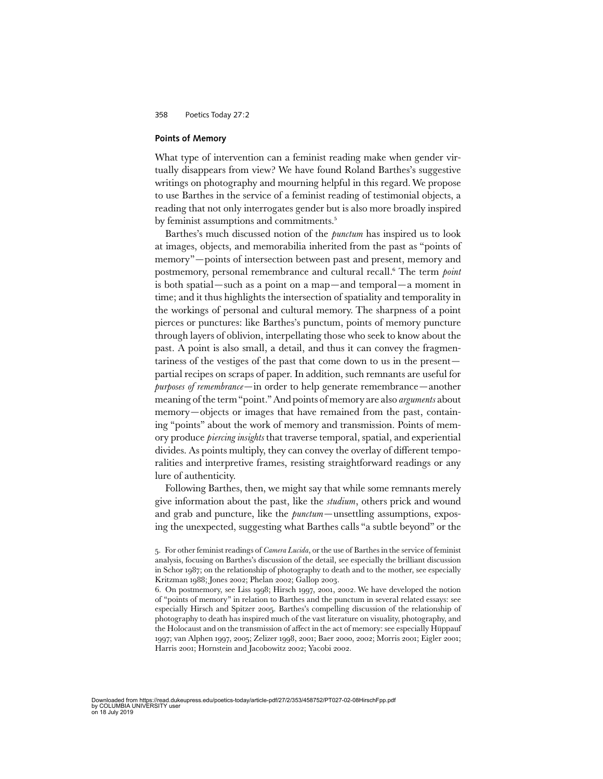### Points of Memory

What type of intervention can a feminist reading make when gender virtually disappears from view? We have found Roland Barthes's suggestive writings on photography and mourning helpful in this regard.We propose to use Barthes in the service of a feminist reading of testimonial objects, a reading that not only interrogates gender but is also more broadly inspired by feminist assumptions and commitments.<sup>5</sup>

Barthes's much discussed notion of the *punctum* has inspired us to look at images, objects, and memorabilia inherited from the past as ''points of memory''—points of intersection between past and present, memory and postmemory, personal remembrance and cultural recall.<sup>6</sup> The term *point* is both spatial—such as a point on a map—and temporal—a moment in time; and it thus highlights the intersection of spatiality and temporality in the workings of personal and cultural memory. The sharpness of a point pierces or punctures: like Barthes's punctum, points of memory puncture through layers of oblivion, interpellating those who seek to know about the past. A point is also small, a detail, and thus it can convey the fragmentariness of the vestiges of the past that come down to us in the present partial recipes on scraps of paper. In addition, such remnants are useful for purposes of remembrance—in order to help generate remembrance—another meaning of the term "point." And points of memory are also *arguments* about memory—objects or images that have remained from the past, containing ''points'' about the work of memory and transmission. Points of memory produce *piercing insights* that traverse temporal, spatial, and experiential divides. As points multiply, they can convey the overlay of different temporalities and interpretive frames, resisting straightforward readings or any lure of authenticity.

Following Barthes, then, we might say that while some remnants merely give information about the past, like the *studium*, others prick and wound and grab and puncture, like the *punctum*—unsettling assumptions, exposing the unexpected, suggesting what Barthes calls ''a subtle beyond'' or the

6. On postmemory, see Liss 1998; Hirsch 1997, 2001, 2002. We have developed the notion of ''points of memory'' in relation to Barthes and the punctum in several related essays: see especially Hirsch and Spitzer 2005. Barthes's compelling discussion of the relationship of photography to death has inspired much of the vast literature on visuality, photography, and the Holocaust and on the transmission of affect in the act of memory: see especially Hüppauf 1997; van Alphen 1997, 2005; Zelizer 1998, 2001; Baer 2000, 2002; Morris 2001; Eigler 2001; Harris 2001; Hornstein and Jacobowitz 2002; Yacobi 2002.

<sup>5.</sup> For other feminist readings of Camera Lucida, or the use of Barthes in the service of feminist analysis, focusing on Barthes's discussion of the detail, see especially the brilliant discussion in Schor 1987; on the relationship of photography to death and to the mother, see especially Kritzman 1988; Jones 2002; Phelan 2002; Gallop 2003.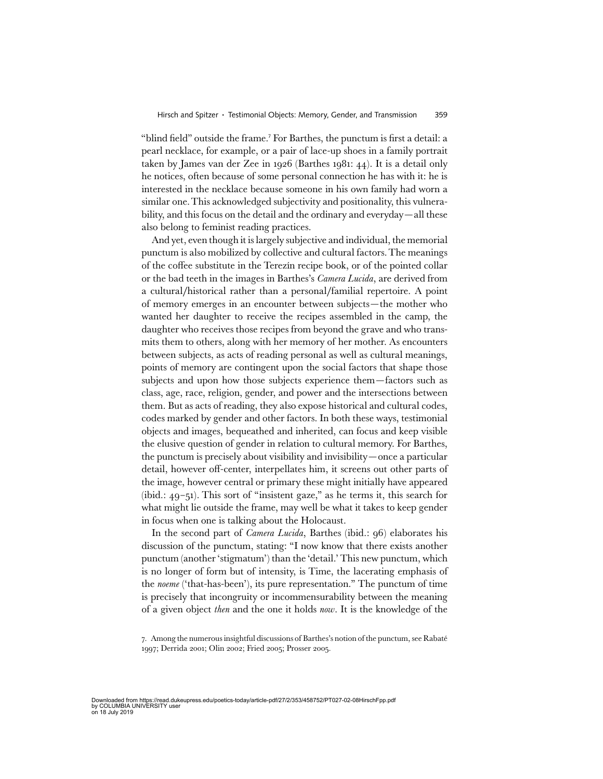''blind field'' outside the frame.7 For Barthes, the punctum is first a detail: a pearl necklace, for example, or a pair of lace-up shoes in a family portrait taken by James van der Zee in 1926 (Barthes 1981: 44). It is a detail only he notices, often because of some personal connection he has with it: he is interested in the necklace because someone in his own family had worn a similar one.This acknowledged subjectivity and positionality, this vulnerability, and this focus on the detail and the ordinary and everyday—all these also belong to feminist reading practices.

And yet, even though it is largely subjective and individual, the memorial punctum is also mobilized by collective and cultural factors.The meanings of the coffee substitute in the Terezín recipe book, or of the pointed collar or the bad teeth in the images in Barthes's Camera Lucida, are derived from a cultural/historical rather than a personal/familial repertoire. A point of memory emerges in an encounter between subjects—the mother who wanted her daughter to receive the recipes assembled in the camp, the daughter who receives those recipes from beyond the grave and who transmits them to others, along with her memory of her mother. As encounters between subjects, as acts of reading personal as well as cultural meanings, points of memory are contingent upon the social factors that shape those subjects and upon how those subjects experience them—factors such as class, age, race, religion, gender, and power and the intersections between them. But as acts of reading, they also expose historical and cultural codes, codes marked by gender and other factors. In both these ways, testimonial objects and images, bequeathed and inherited, can focus and keep visible the elusive question of gender in relation to cultural memory. For Barthes, the punctum is precisely about visibility and invisibility—once a particular detail, however off-center, interpellates him, it screens out other parts of the image, however central or primary these might initially have appeared (ibid.: 49-51). This sort of "insistent gaze," as he terms it, this search for what might lie outside the frame, may well be what it takes to keep gender in focus when one is talking about the Holocaust.

In the second part of *Camera Lucida*, Barthes (ibid.: 96) elaborates his discussion of the punctum, stating: ''I now know that there exists another punctum (another 'stigmatum') than the 'detail.' This new punctum, which is no longer of form but of intensity, is Time, the lacerating emphasis of the noeme ('that-has-been'), its pure representation.'' The punctum of time is precisely that incongruity or incommensurability between the meaning of a given object then and the one it holds now. It is the knowledge of the

<sup>7.</sup> Among the numerous insightful discussions of Barthes's notion of the punctum, see Rabaté 1997; Derrida 2001; Olin 2002; Fried 2005; Prosser 2005.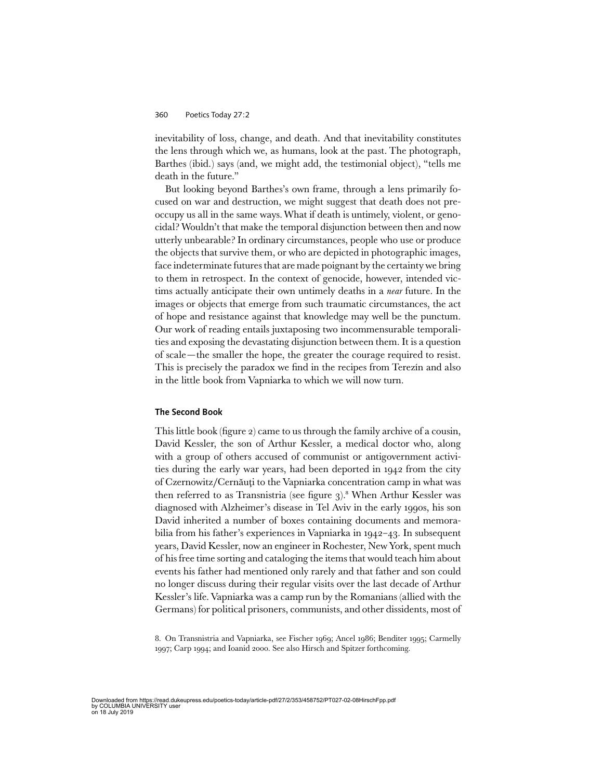inevitability of loss, change, and death. And that inevitability constitutes the lens through which we, as humans, look at the past. The photograph, Barthes (ibid.) says (and, we might add, the testimonial object), ''tells me death in the future.''

But looking beyond Barthes's own frame, through a lens primarily focused on war and destruction, we might suggest that death does not preoccupy us all in the same ways.What if death is untimely, violent, or genocidal? Wouldn't that make the temporal disjunction between then and now utterly unbearable? In ordinary circumstances, people who use or produce the objects that survive them, or who are depicted in photographic images, face indeterminate futures that are made poignant by the certainty we bring to them in retrospect. In the context of genocide, however, intended victims actually anticipate their own untimely deaths in a *near* future. In the images or objects that emerge from such traumatic circumstances, the act of hope and resistance against that knowledge may well be the punctum. Our work of reading entails juxtaposing two incommensurable temporalities and exposing the devastating disjunction between them. It is a question of scale—the smaller the hope, the greater the courage required to resist. This is precisely the paradox we find in the recipes from Terezín and also in the little book from Vapniarka to which we will now turn.

# The Second Book

This little book (figure 2) came to us through the family archive of a cousin, David Kessler, the son of Arthur Kessler, a medical doctor who, along with a group of others accused of communist or antigovernment activities during the early war years, had been deported in 1942 from the city of Czernowitz/Cernăuți to the Vapniarka concentration camp in what was then referred to as Transnistria (see figure 3).<sup>8</sup> When Arthur Kessler was diagnosed with Alzheimer's disease in Tel Aviv in the early 1990s, his son David inherited a number of boxes containing documents and memorabilia from his father's experiences in Vapniarka in 1942–43. In subsequent years, David Kessler, now an engineer in Rochester, New York, spent much of his free time sorting and cataloging the items that would teach him about events his father had mentioned only rarely and that father and son could no longer discuss during their regular visits over the last decade of Arthur Kessler's life. Vapniarka was a camp run by the Romanians (allied with the Germans) for political prisoners, communists, and other dissidents, most of

8. On Transnistria and Vapniarka, see Fischer 1969; Ancel 1986; Benditer 1995; Carmelly 1997; Carp 1994; and Ioanid 2000. See also Hirsch and Spitzer forthcoming.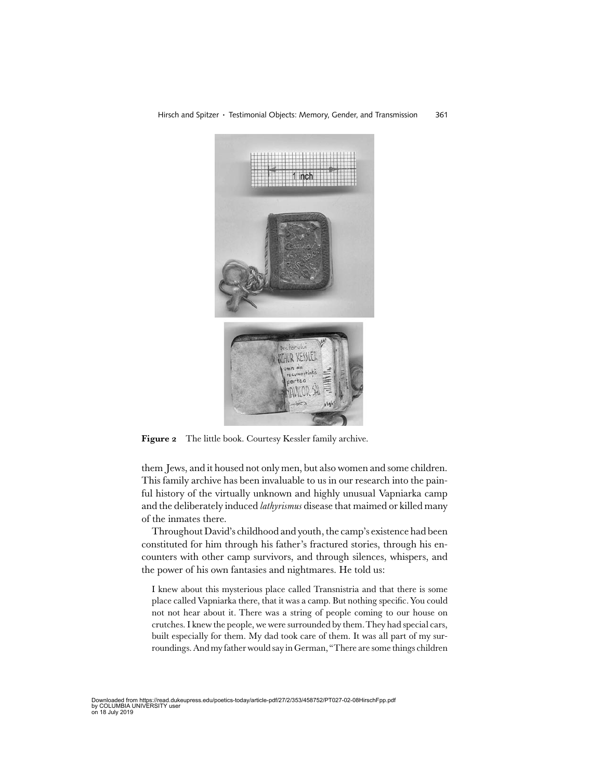

Figure 2 The little book. Courtesy Kessler family archive.

them Jews, and it housed not only men, but also women and some children. This family archive has been invaluable to us in our research into the painful history of the virtually unknown and highly unusual Vapniarka camp and the deliberately induced *lathyrismus* disease that maimed or killed many of the inmates there.

Throughout David's childhood and youth, the camp's existence had been constituted for him through his father's fractured stories, through his encounters with other camp survivors, and through silences, whispers, and the power of his own fantasies and nightmares. He told us:

I knew about this mysterious place called Transnistria and that there is some place called Vapniarka there, that it was a camp. But nothing specific.You could not not hear about it. There was a string of people coming to our house on crutches. I knew the people, we were surrounded by them.They had special cars, built especially for them. My dad took care of them. It was all part of my surroundings. And my father would say in German, ''There are some things children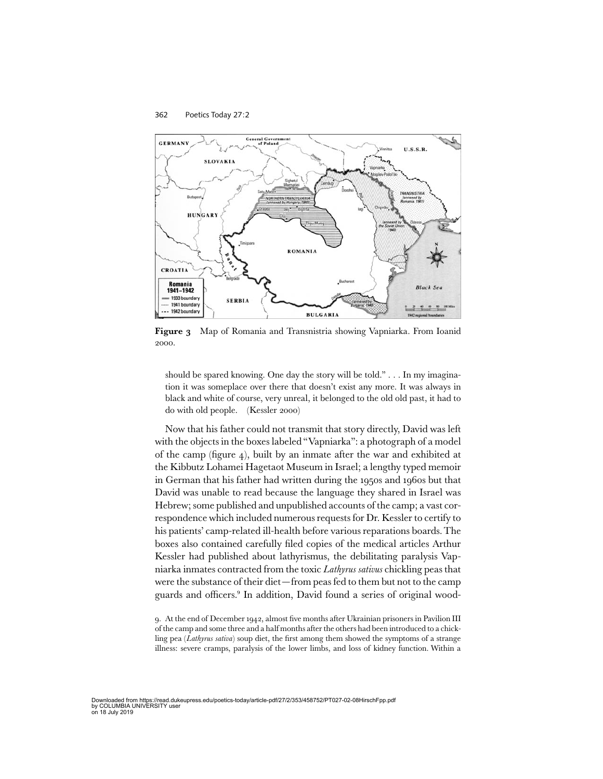

Figure 3 Map of Romania and Transnistria showing Vapniarka. From Ioanid 2000.

should be spared knowing. One day the story will be told.'' . . . In my imagination it was someplace over there that doesn't exist any more. It was always in black and white of course, very unreal, it belonged to the old old past, it had to do with old people. (Kessler 2000)

Now that his father could not transmit that story directly, David was left with the objects in the boxes labeled ''Vapniarka'': a photograph of a model of the camp (figure 4), built by an inmate after the war and exhibited at the Kibbutz Lohamei Hagetaot Museum in Israel; a lengthy typed memoir in German that his father had written during the 1950s and 1960s but that David was unable to read because the language they shared in Israel was Hebrew; some published and unpublished accounts of the camp; a vast correspondence which included numerous requests for Dr. Kessler to certify to his patients' camp-related ill-health before various reparations boards.The boxes also contained carefully filed copies of the medical articles Arthur Kessler had published about lathyrismus, the debilitating paralysis Vapniarka inmates contracted from the toxic Lathyrus sativus chickling peas that were the substance of their diet—from peas fed to them but not to the camp guards and officers.9 In addition, David found a series of original wood-

9. At the end of December 1942, almost five months after Ukrainian prisoners in Pavilion III of the camp and some three and a half months after the others had been introduced to a chickling pea (Lathyrus sativa) soup diet, the first among them showed the symptoms of a strange illness: severe cramps, paralysis of the lower limbs, and loss of kidney function. Within a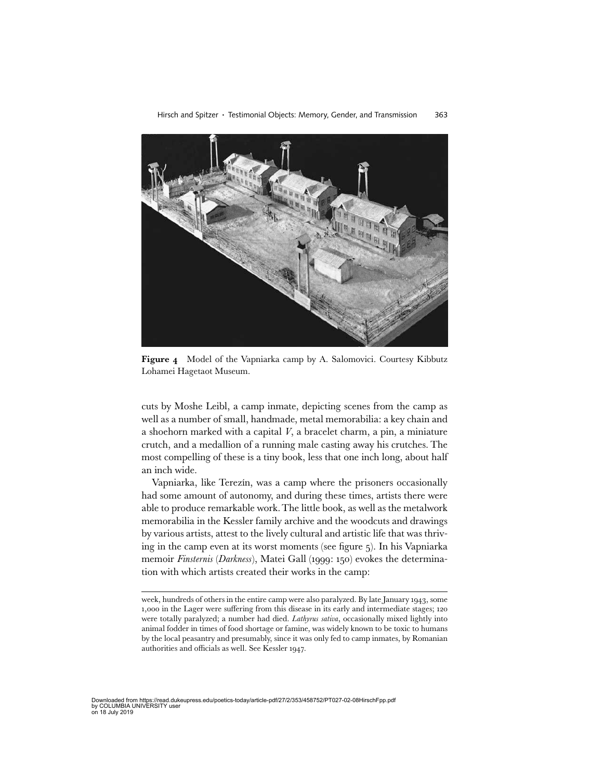

Figure 4 Model of the Vapniarka camp by A. Salomovici. Courtesy Kibbutz Lohamei Hagetaot Museum.

cuts by Moshe Leibl, a camp inmate, depicting scenes from the camp as well as a number of small, handmade, metal memorabilia: a key chain and a shoehorn marked with a capital  $V$ , a bracelet charm, a pin, a miniature crutch, and a medallion of a running male casting away his crutches. The most compelling of these is a tiny book, less that one inch long, about half an inch wide.

Vapniarka, like Terezín, was a camp where the prisoners occasionally had some amount of autonomy, and during these times, artists there were able to produce remarkable work.The little book, as well as the metalwork memorabilia in the Kessler family archive and the woodcuts and drawings by various artists, attest to the lively cultural and artistic life that was thriving in the camp even at its worst moments (see figure 5). In his Vapniarka memoir Finsternis (Darkness), Matei Gall (1999: 150) evokes the determination with which artists created their works in the camp:

week, hundreds of others in the entire camp were also paralyzed. By late January 1943, some 1,000 in the Lager were suffering from this disease in its early and intermediate stages; 120 were totally paralyzed; a number had died. Lathyrus sativa, occasionally mixed lightly into animal fodder in times of food shortage or famine, was widely known to be toxic to humans by the local peasantry and presumably, since it was only fed to camp inmates, by Romanian authorities and officials as well. See Kessler 1947.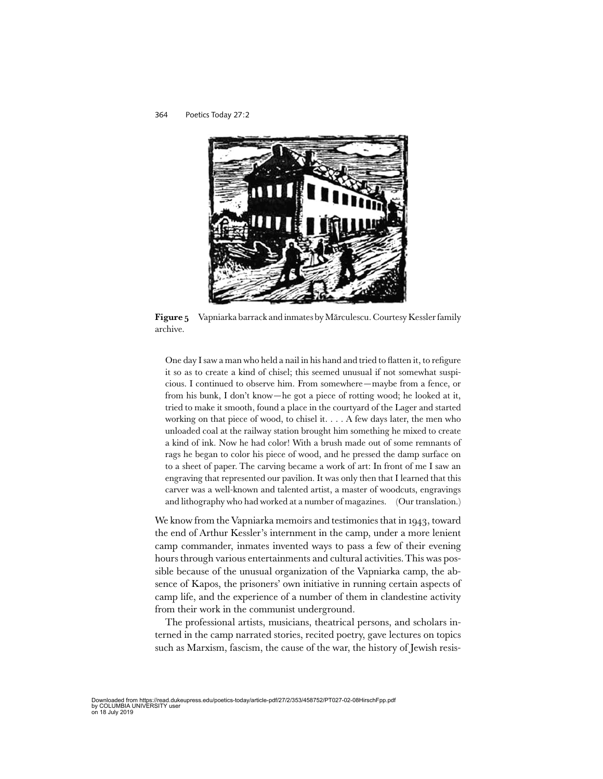

Figure 5 Vapniarka barrack and inmates by Mărculescu. Courtesy Kessler family archive.

One day I saw a man who held a nail in his hand and tried to flatten it, to refigure it so as to create a kind of chisel; this seemed unusual if not somewhat suspicious. I continued to observe him. From somewhere—maybe from a fence, or from his bunk, I don't know—he got a piece of rotting wood; he looked at it, tried to make it smooth, found a place in the courtyard of the Lager and started working on that piece of wood, to chisel it. . . . A few days later, the men who unloaded coal at the railway station brought him something he mixed to create a kind of ink. Now he had color! With a brush made out of some remnants of rags he began to color his piece of wood, and he pressed the damp surface on to a sheet of paper. The carving became a work of art: In front of me I saw an engraving that represented our pavilion. It was only then that I learned that this carver was a well-known and talented artist, a master of woodcuts, engravings and lithography who had worked at a number of magazines. (Our translation.)

We know from the Vapniarka memoirs and testimonies that in 1943, toward the end of Arthur Kessler's internment in the camp, under a more lenient camp commander, inmates invented ways to pass a few of their evening hours through various entertainments and cultural activities.This was possible because of the unusual organization of the Vapniarka camp, the absence of Kapos, the prisoners' own initiative in running certain aspects of camp life, and the experience of a number of them in clandestine activity from their work in the communist underground.

The professional artists, musicians, theatrical persons, and scholars interned in the camp narrated stories, recited poetry, gave lectures on topics such as Marxism, fascism, the cause of the war, the history of Jewish resis-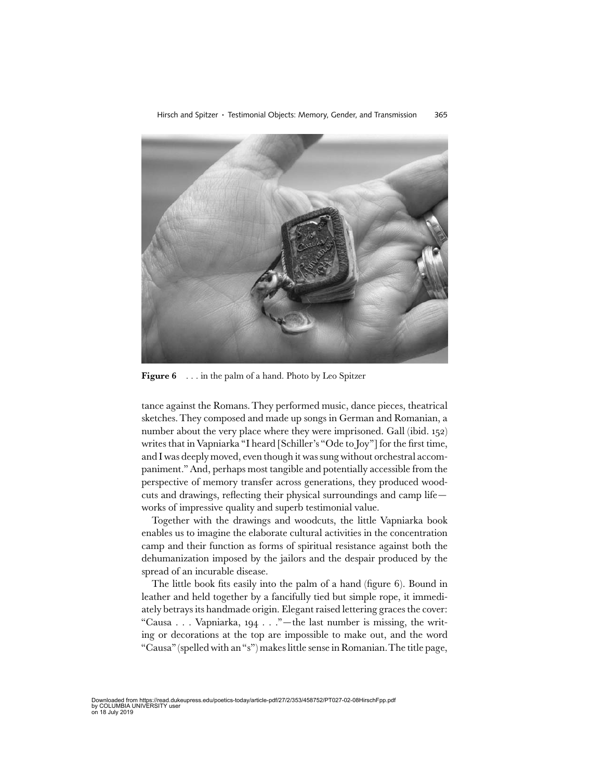

**Figure 6**  $\ldots$  in the palm of a hand. Photo by Leo Spitzer

tance against the Romans.They performed music, dance pieces, theatrical sketches.They composed and made up songs in German and Romanian, a number about the very place where they were imprisoned. Gall (ibid. 152) writes that in Vapniarka "I heard [Schiller's "Ode to Joy"] for the first time, and I was deeply moved, even though it was sung without orchestral accompaniment.'' And, perhaps most tangible and potentially accessible from the perspective of memory transfer across generations, they produced woodcuts and drawings, reflecting their physical surroundings and camp life works of impressive quality and superb testimonial value.

Together with the drawings and woodcuts, the little Vapniarka book enables us to imagine the elaborate cultural activities in the concentration camp and their function as forms of spiritual resistance against both the dehumanization imposed by the jailors and the despair produced by the spread of an incurable disease.

The little book fits easily into the palm of a hand (figure 6). Bound in leather and held together by a fancifully tied but simple rope, it immediately betrays its handmade origin. Elegant raised lettering graces the cover: ''Causa . . . Vapniarka, 194 . . .''—the last number is missing, the writing or decorations at the top are impossible to make out, and the word ''Causa'' (spelled with an ''s'') makes little sense in Romanian.The title page,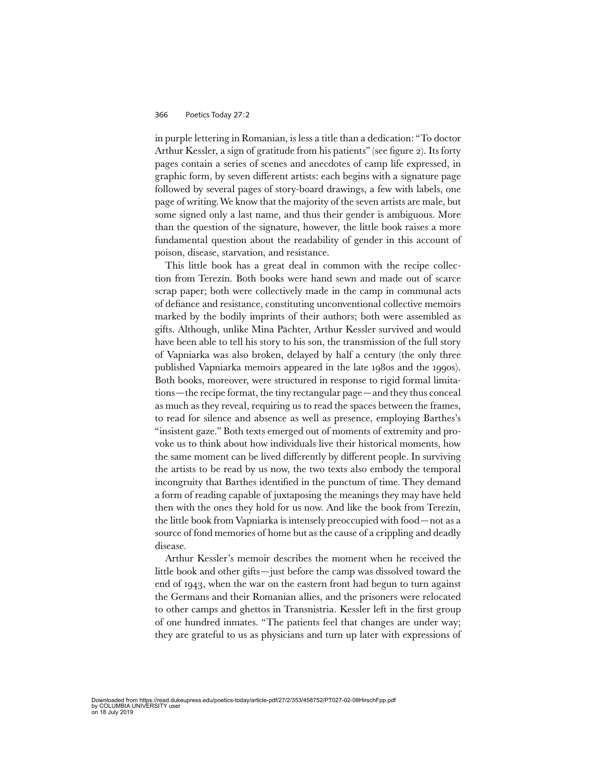in purple lettering in Romanian, is less a title than a dedication: ''To doctor Arthur Kessler, a sign of gratitude from his patients'' (see figure 2). Its forty pages contain a series of scenes and anecdotes of camp life expressed, in graphic form, by seven different artists: each begins with a signature page followed by several pages of story-board drawings, a few with labels, one page of writing.We know that the majority of the seven artists are male, but some signed only a last name, and thus their gender is ambiguous. More than the question of the signature, however, the little book raises a more fundamental question about the readability of gender in this account of poison, disease, starvation, and resistance.

This little book has a great deal in common with the recipe collection from Terezín. Both books were hand sewn and made out of scarce scrap paper; both were collectively made in the camp in communal acts of defiance and resistance, constituting unconventional collective memoirs marked by the bodily imprints of their authors; both were assembled as gifts. Although, unlike Mina Pächter, Arthur Kessler survived and would have been able to tell his story to his son, the transmission of the full story of Vapniarka was also broken, delayed by half a century (the only three published Vapniarka memoirs appeared in the late 1980s and the 1990s). Both books, moreover, were structured in response to rigid formal limitations—the recipe format, the tiny rectangular page—and they thus conceal as much as they reveal, requiring us to read the spaces between the frames, to read for silence and absence as well as presence, employing Barthes's ''insistent gaze.'' Both texts emerged out of moments of extremity and provoke us to think about how individuals live their historical moments, how the same moment can be lived differently by different people. In surviving the artists to be read by us now, the two texts also embody the temporal incongruity that Barthes identified in the punctum of time. They demand a form of reading capable of juxtaposing the meanings they may have held then with the ones they hold for us now. And like the book from Terezín, the little book from Vapniarka is intensely preoccupied with food—not as a source of fond memories of home but as the cause of a crippling and deadly disease.

Arthur Kessler's memoir describes the moment when he received the little book and other gifts—just before the camp was dissolved toward the end of 1943, when the war on the eastern front had begun to turn against the Germans and their Romanian allies, and the prisoners were relocated to other camps and ghettos in Transnistria. Kessler left in the first group of one hundred inmates. ''The patients feel that changes are under way; they are grateful to us as physicians and turn up later with expressions of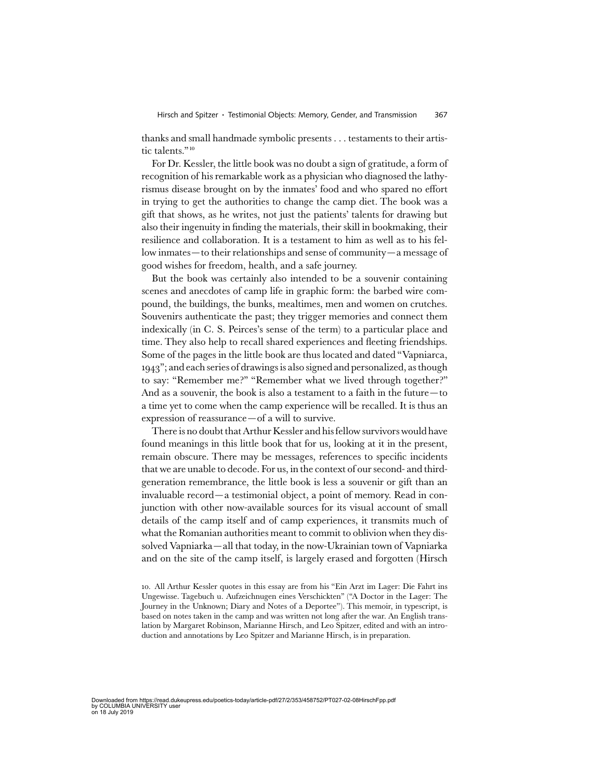thanks and small handmade symbolic presents . . . testaments to their artistic talents."<sup>10</sup>

For Dr. Kessler, the little book was no doubt a sign of gratitude, a form of recognition of his remarkable work as a physician who diagnosed the lathyrismus disease brought on by the inmates' food and who spared no effort in trying to get the authorities to change the camp diet. The book was a gift that shows, as he writes, not just the patients' talents for drawing but also their ingenuity in finding the materials, their skill in bookmaking, their resilience and collaboration. It is a testament to him as well as to his fellow inmates—to their relationships and sense of community—a message of good wishes for freedom, health, and a safe journey.

But the book was certainly also intended to be a souvenir containing scenes and anecdotes of camp life in graphic form: the barbed wire compound, the buildings, the bunks, mealtimes, men and women on crutches. Souvenirs authenticate the past; they trigger memories and connect them indexically (in C. S. Peirces's sense of the term) to a particular place and time. They also help to recall shared experiences and fleeting friendships. Some of the pages in the little book are thus located and dated ''Vapniarca, 1943''; and each series of drawings is also signed and personalized, as though to say: "Remember me?" "Remember what we lived through together?" And as a souvenir, the book is also a testament to a faith in the future—to a time yet to come when the camp experience will be recalled. It is thus an expression of reassurance—of a will to survive.

There is no doubt that Arthur Kessler and his fellow survivors would have found meanings in this little book that for us, looking at it in the present, remain obscure. There may be messages, references to specific incidents that we are unable to decode. For us, in the context of our second- and thirdgeneration remembrance, the little book is less a souvenir or gift than an invaluable record—a testimonial object, a point of memory. Read in conjunction with other now-available sources for its visual account of small details of the camp itself and of camp experiences, it transmits much of what the Romanian authorities meant to commit to oblivion when they dissolved Vapniarka—all that today, in the now-Ukrainian town of Vapniarka and on the site of the camp itself, is largely erased and forgotten (Hirsch

10. All Arthur Kessler quotes in this essay are from his ''Ein Arzt im Lager: Die Fahrt ins Ungewisse. Tagebuch u. Aufzeichnugen eines Verschickten'' (''A Doctor in the Lager: The Journey in the Unknown; Diary and Notes of a Deportee''). This memoir, in typescript, is based on notes taken in the camp and was written not long after the war. An English translation by Margaret Robinson, Marianne Hirsch, and Leo Spitzer, edited and with an introduction and annotations by Leo Spitzer and Marianne Hirsch, is in preparation.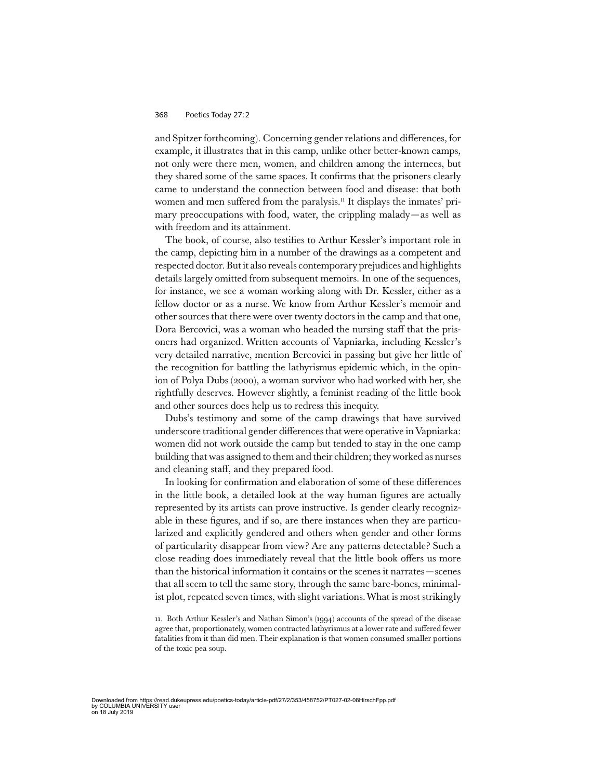and Spitzer forthcoming). Concerning gender relations and differences, for example, it illustrates that in this camp, unlike other better-known camps, not only were there men, women, and children among the internees, but they shared some of the same spaces. It confirms that the prisoners clearly came to understand the connection between food and disease: that both women and men suffered from the paralysis.<sup>11</sup> It displays the inmates' primary preoccupations with food, water, the crippling malady—as well as with freedom and its attainment.

The book, of course, also testifies to Arthur Kessler's important role in the camp, depicting him in a number of the drawings as a competent and respected doctor. But it also reveals contemporary prejudices and highlights details largely omitted from subsequent memoirs. In one of the sequences, for instance, we see a woman working along with Dr. Kessler, either as a fellow doctor or as a nurse. We know from Arthur Kessler's memoir and other sources that there were over twenty doctors in the camp and that one, Dora Bercovici, was a woman who headed the nursing staff that the prisoners had organized. Written accounts of Vapniarka, including Kessler's very detailed narrative, mention Bercovici in passing but give her little of the recognition for battling the lathyrismus epidemic which, in the opinion of Polya Dubs (2000), a woman survivor who had worked with her, she rightfully deserves. However slightly, a feminist reading of the little book and other sources does help us to redress this inequity.

Dubs's testimony and some of the camp drawings that have survived underscore traditional gender differences that were operative in Vapniarka: women did not work outside the camp but tended to stay in the one camp building that was assigned to them and their children; they worked as nurses and cleaning staff, and they prepared food.

In looking for confirmation and elaboration of some of these differences in the little book, a detailed look at the way human figures are actually represented by its artists can prove instructive. Is gender clearly recognizable in these figures, and if so, are there instances when they are particularized and explicitly gendered and others when gender and other forms of particularity disappear from view? Are any patterns detectable? Such a close reading does immediately reveal that the little book offers us more than the historical information it contains or the scenes it narrates—scenes that all seem to tell the same story, through the same bare-bones, minimalist plot, repeated seven times, with slight variations.What is most strikingly

<sup>11.</sup> Both Arthur Kessler's and Nathan Simon's (1994) accounts of the spread of the disease agree that, proportionately, women contracted lathyrismus at a lower rate and suffered fewer fatalities from it than did men. Their explanation is that women consumed smaller portions of the toxic pea soup.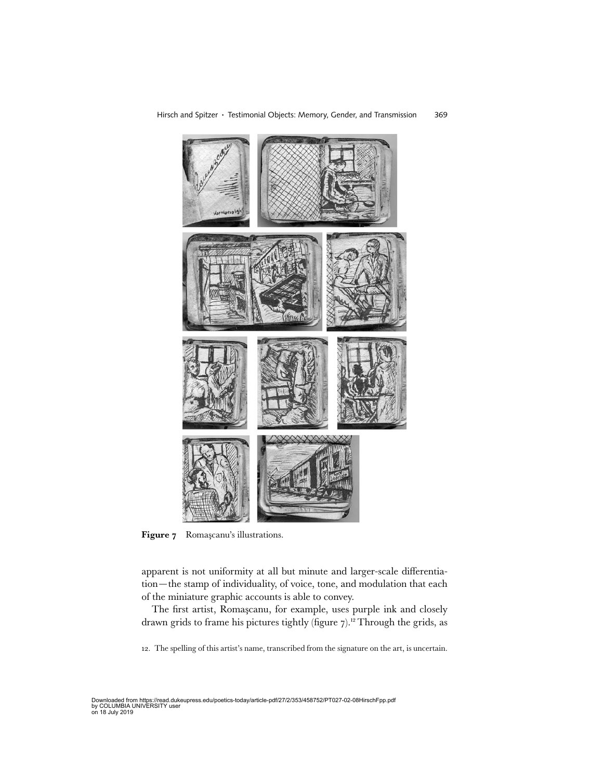

Figure 7 Romascanu's illustrations.

apparent is not uniformity at all but minute and larger-scale differentiation—the stamp of individuality, of voice, tone, and modulation that each of the miniature graphic accounts is able to convey.

The first artist, Romaşcanu, for example, uses purple ink and closely drawn grids to frame his pictures tightly (figure 7).<sup>12</sup> Through the grids, as

12. The spelling of this artist's name, transcribed from the signature on the art, is uncertain.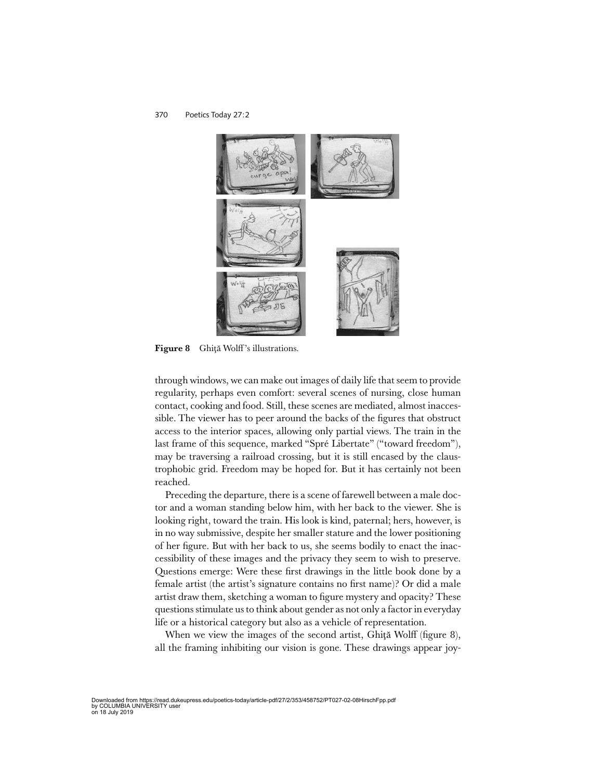

Figure 8 Ghiță Wolff's illustrations.

through windows, we can make out images of daily life that seem to provide regularity, perhaps even comfort: several scenes of nursing, close human contact, cooking and food. Still, these scenes are mediated, almost inaccessible. The viewer has to peer around the backs of the figures that obstruct access to the interior spaces, allowing only partial views. The train in the last frame of this sequence, marked "Spré Libertate" ("toward freedom"), may be traversing a railroad crossing, but it is still encased by the claustrophobic grid. Freedom may be hoped for. But it has certainly not been reached.

Preceding the departure, there is a scene of farewell between a male doctor and a woman standing below him, with her back to the viewer. She is looking right, toward the train. His look is kind, paternal; hers, however, is in no way submissive, despite her smaller stature and the lower positioning of her figure. But with her back to us, she seems bodily to enact the inaccessibility of these images and the privacy they seem to wish to preserve. Questions emerge: Were these first drawings in the little book done by a female artist (the artist's signature contains no first name)? Or did a male artist draw them, sketching a woman to figure mystery and opacity? These questions stimulate us to think about gender as not only a factor in everyday life or a historical category but also as a vehicle of representation.

When we view the images of the second artist, Ghiță Wolff (figure 8), all the framing inhibiting our vision is gone. These drawings appear joy-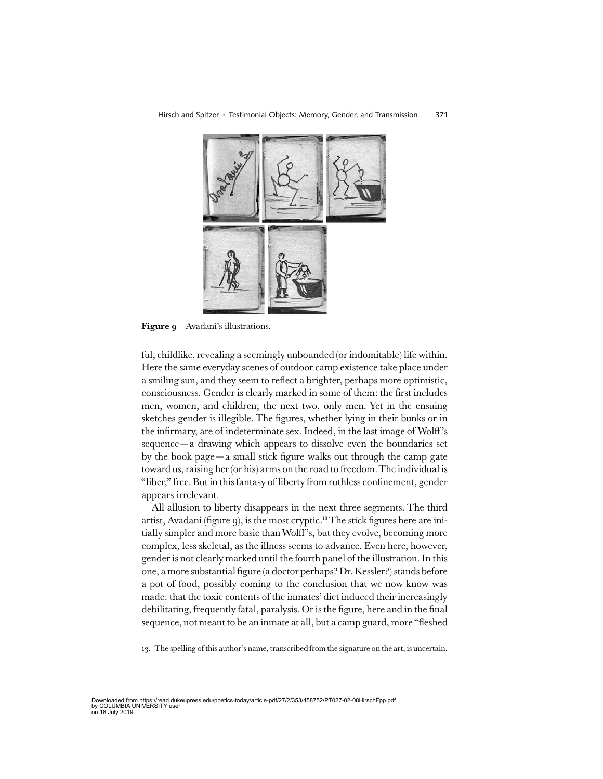

Figure 9 Avadani's illustrations.

ful, childlike, revealing a seemingly unbounded (or indomitable) life within. Here the same everyday scenes of outdoor camp existence take place under a smiling sun, and they seem to reflect a brighter, perhaps more optimistic, consciousness. Gender is clearly marked in some of them: the first includes men, women, and children; the next two, only men. Yet in the ensuing sketches gender is illegible. The figures, whether lying in their bunks or in the infirmary, are of indeterminate sex. Indeed, in the last image of Wolff 's sequence—a drawing which appears to dissolve even the boundaries set by the book page—a small stick figure walks out through the camp gate toward us, raising her (or his) arms on the road to freedom.The individual is ''liber,'' free. But in this fantasy of liberty from ruthless confinement, gender appears irrelevant.

All allusion to liberty disappears in the next three segments. The third artist, Avadani (figure 9), is the most cryptic.<sup>13</sup>The stick figures here are initially simpler and more basic than Wolff 's, but they evolve, becoming more complex, less skeletal, as the illness seems to advance. Even here, however, gender is not clearly marked until the fourth panel of the illustration. In this one, a more substantial figure (a doctor perhaps? Dr. Kessler?) stands before a pot of food, possibly coming to the conclusion that we now know was made: that the toxic contents of the inmates' diet induced their increasingly debilitating, frequently fatal, paralysis. Or is the figure, here and in the final sequence, not meant to be an inmate at all, but a camp guard, more ''fleshed

13. The spelling of this author's name, transcribed from the signature on the art, is uncertain.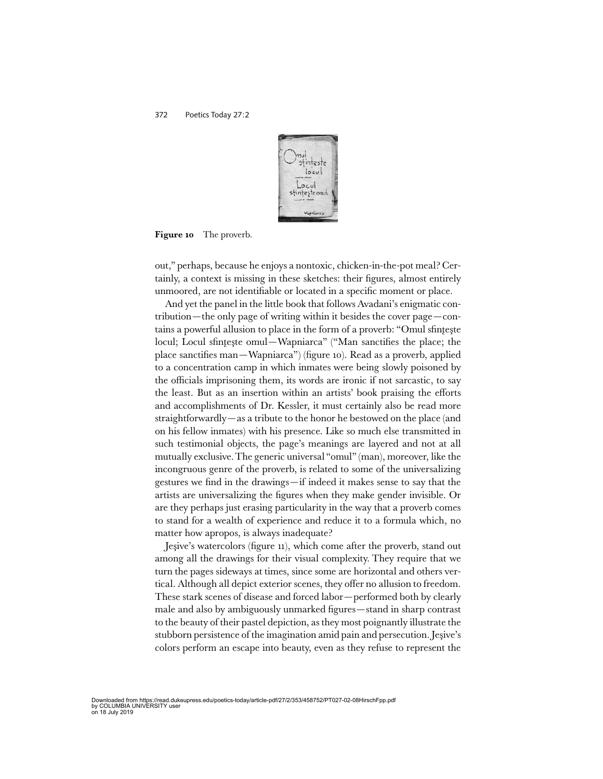

Figure 10 The proverb.

out,'' perhaps, because he enjoys a nontoxic, chicken-in-the-pot meal? Certainly, a context is missing in these sketches: their figures, almost entirely unmoored, are not identifiable or located in a specific moment or place.

And yet the panel in the little book that follows Avadani's enigmatic contribution—the only page of writing within it besides the cover page—contains a powerful allusion to place in the form of a proverb: "Omul sfinteste locul; Locul sfintește omul—Wapniarca" ("Man sanctifies the place; the place sanctifies man—Wapniarca'') (figure 10). Read as a proverb, applied to a concentration camp in which inmates were being slowly poisoned by the officials imprisoning them, its words are ironic if not sarcastic, to say the least. But as an insertion within an artists' book praising the efforts and accomplishments of Dr. Kessler, it must certainly also be read more straightforwardly—as a tribute to the honor he bestowed on the place (and on his fellow inmates) with his presence. Like so much else transmitted in such testimonial objects, the page's meanings are layered and not at all mutually exclusive. The generic universal "omul" (man), moreover, like the incongruous genre of the proverb, is related to some of the universalizing gestures we find in the drawings—if indeed it makes sense to say that the artists are universalizing the figures when they make gender invisible. Or are they perhaps just erasing particularity in the way that a proverb comes to stand for a wealth of experience and reduce it to a formula which, no matter how apropos, is always inadequate?

Jesive's watercolors (figure 11), which come after the proverb, stand out among all the drawings for their visual complexity. They require that we turn the pages sideways at times, since some are horizontal and others vertical. Although all depict exterior scenes, they offer no allusion to freedom. These stark scenes of disease and forced labor—performed both by clearly male and also by ambiguously unmarked figures—stand in sharp contrast to the beauty of their pastel depiction, as they most poignantly illustrate the stubborn persistence of the imagination amid pain and persecution. Jesive's colors perform an escape into beauty, even as they refuse to represent the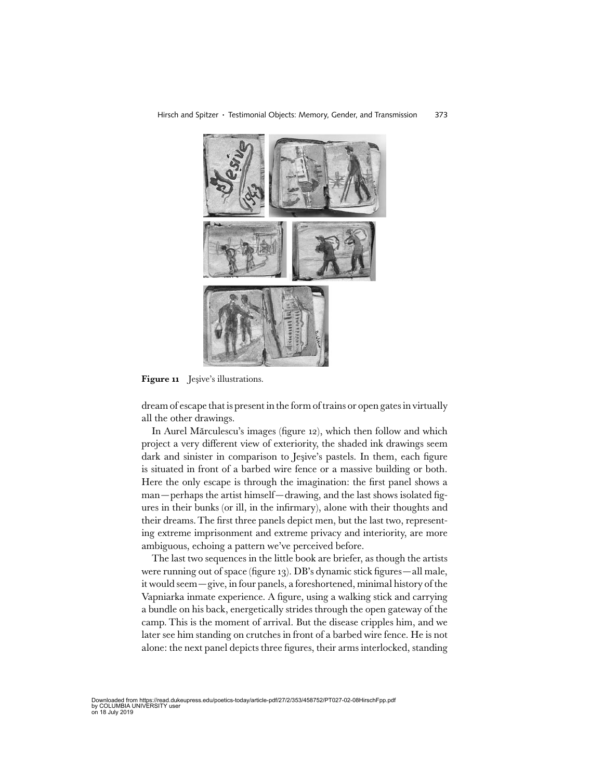

Figure 11 Jeşive's illustrations.

dream of escape that is present in the form of trains or open gates in virtually all the other drawings.

In Aurel Mărculescu's images (figure 12), which then follow and which project a very different view of exteriority, the shaded ink drawings seem dark and sinister in comparison to Jesive's pastels. In them, each figure is situated in front of a barbed wire fence or a massive building or both. Here the only escape is through the imagination: the first panel shows a man—perhaps the artist himself—drawing, and the last shows isolated figures in their bunks (or ill, in the infirmary), alone with their thoughts and their dreams.The first three panels depict men, but the last two, representing extreme imprisonment and extreme privacy and interiority, are more ambiguous, echoing a pattern we've perceived before.

The last two sequences in the little book are briefer, as though the artists were running out of space (figure 13). DB's dynamic stick figures—all male, it would seem—give, in four panels, a foreshortened, minimal history of the Vapniarka inmate experience. A figure, using a walking stick and carrying a bundle on his back, energetically strides through the open gateway of the camp. This is the moment of arrival. But the disease cripples him, and we later see him standing on crutches in front of a barbed wire fence. He is not alone: the next panel depicts three figures, their arms interlocked, standing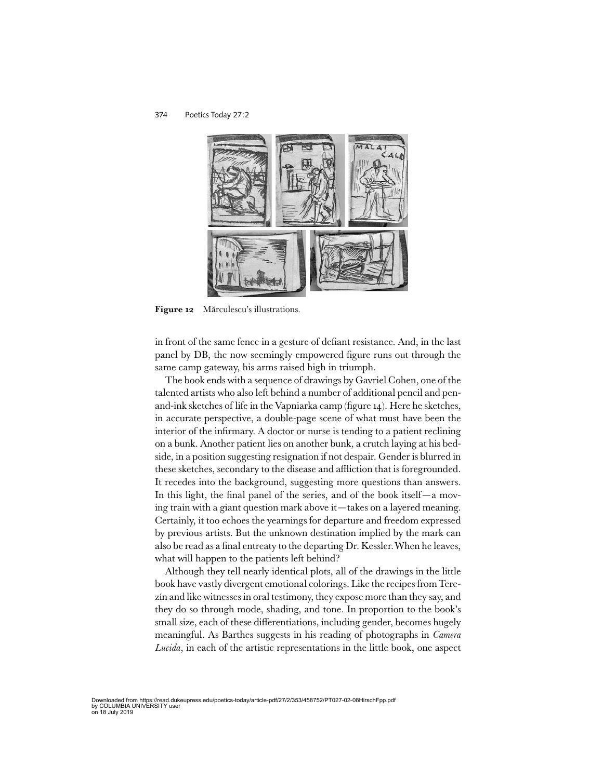

Figure 12 Mărculescu's illustrations.

in front of the same fence in a gesture of defiant resistance. And, in the last panel by DB, the now seemingly empowered figure runs out through the same camp gateway, his arms raised high in triumph.

The book ends with a sequence of drawings by Gavriel Cohen, one of the talented artists who also left behind a number of additional pencil and penand-ink sketches of life in the Vapniarka camp (figure 14). Here he sketches, in accurate perspective, a double-page scene of what must have been the interior of the infirmary. A doctor or nurse is tending to a patient reclining on a bunk. Another patient lies on another bunk, a crutch laying at his bedside, in a position suggesting resignation if not despair. Gender is blurred in these sketches, secondary to the disease and affliction that is foregrounded. It recedes into the background, suggesting more questions than answers. In this light, the final panel of the series, and of the book itself—a moving train with a giant question mark above it—takes on a layered meaning. Certainly, it too echoes the yearnings for departure and freedom expressed by previous artists. But the unknown destination implied by the mark can also be read as a final entreaty to the departing Dr. Kessler.When he leaves, what will happen to the patients left behind?

Although they tell nearly identical plots, all of the drawings in the little book have vastly divergent emotional colorings. Like the recipes from Terezín and like witnesses in oral testimony, they expose more than they say, and they do so through mode, shading, and tone. In proportion to the book's small size, each of these differentiations, including gender, becomes hugely meaningful. As Barthes suggests in his reading of photographs in Camera Lucida, in each of the artistic representations in the little book, one aspect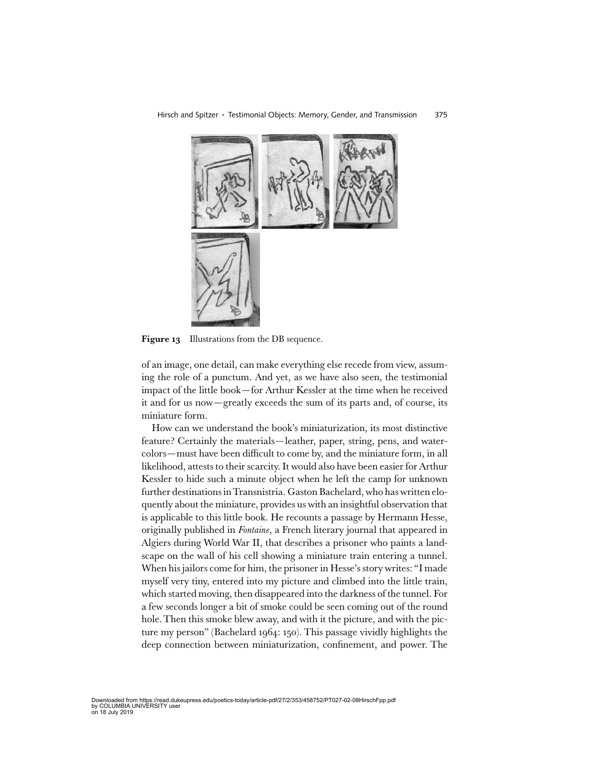

Figure 13 Illustrations from the DB sequence.

of an image, one detail, can make everything else recede from view, assuming the role of a punctum. And yet, as we have also seen, the testimonial impact of the little book—for Arthur Kessler at the time when he received it and for us now—greatly exceeds the sum of its parts and, of course, its miniature form.

How can we understand the book's miniaturization, its most distinctive feature? Certainly the materials—leather, paper, string, pens, and watercolors—must have been difficult to come by, and the miniature form, in all likelihood, attests to their scarcity. It would also have been easier for Arthur Kessler to hide such a minute object when he left the camp for unknown further destinations inTransnistria. Gaston Bachelard, who has written eloquently about the miniature, provides us with an insightful observation that is applicable to this little book. He recounts a passage by Hermann Hesse, originally published in *Fontaine*, a French literary journal that appeared in Algiers during World War II, that describes a prisoner who paints a landscape on the wall of his cell showing a miniature train entering a tunnel. When his jailors come for him, the prisoner in Hesse's story writes: ''I made myself very tiny, entered into my picture and climbed into the little train, which started moving, then disappeared into the darkness of the tunnel. For a few seconds longer a bit of smoke could be seen coming out of the round hole. Then this smoke blew away, and with it the picture, and with the picture my person'' (Bachelard 1964: 150). This passage vividly highlights the deep connection between miniaturization, confinement, and power. The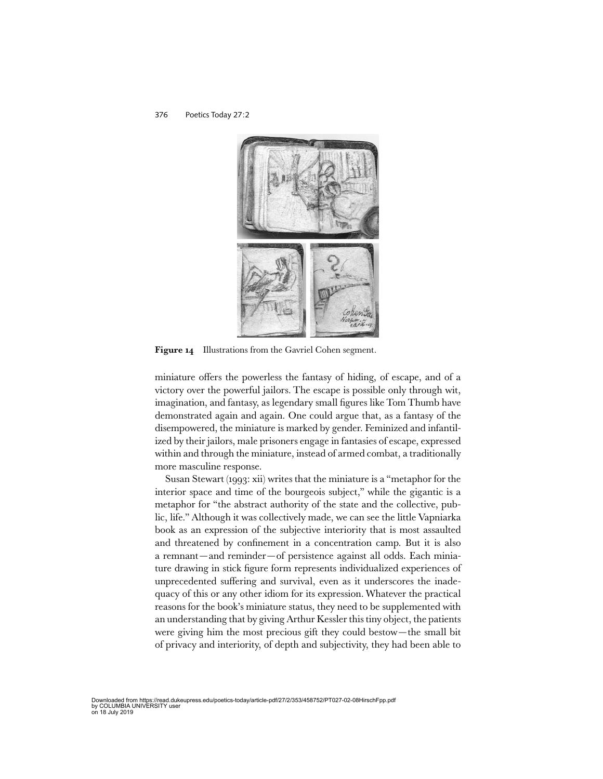

Figure 14 Illustrations from the Gavriel Cohen segment.

miniature offers the powerless the fantasy of hiding, of escape, and of a victory over the powerful jailors. The escape is possible only through wit, imagination, and fantasy, as legendary small figures like Tom Thumb have demonstrated again and again. One could argue that, as a fantasy of the disempowered, the miniature is marked by gender. Feminized and infantilized by their jailors, male prisoners engage in fantasies of escape, expressed within and through the miniature, instead of armed combat, a traditionally more masculine response.

Susan Stewart (1993: xii) writes that the miniature is a ''metaphor for the interior space and time of the bourgeois subject," while the gigantic is a metaphor for "the abstract authority of the state and the collective, public, life.'' Although it was collectively made, we can see the little Vapniarka book as an expression of the subjective interiority that is most assaulted and threatened by confinement in a concentration camp. But it is also a remnant—and reminder—of persistence against all odds. Each miniature drawing in stick figure form represents individualized experiences of unprecedented suffering and survival, even as it underscores the inadequacy of this or any other idiom for its expression. Whatever the practical reasons for the book's miniature status, they need to be supplemented with an understanding that by giving Arthur Kessler this tiny object, the patients were giving him the most precious gift they could bestow—the small bit of privacy and interiority, of depth and subjectivity, they had been able to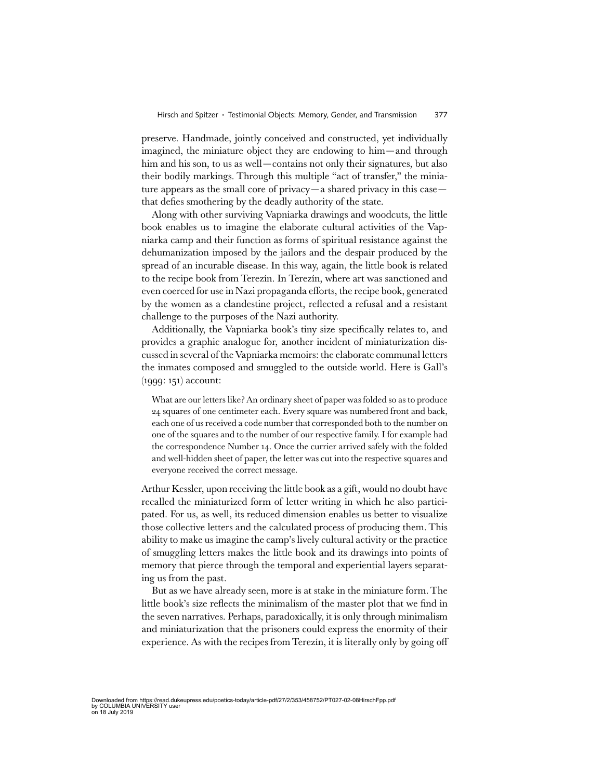preserve. Handmade, jointly conceived and constructed, yet individually imagined, the miniature object they are endowing to him—and through him and his son, to us as well—contains not only their signatures, but also their bodily markings. Through this multiple "act of transfer," the miniature appears as the small core of privacy—a shared privacy in this case that defies smothering by the deadly authority of the state.

Along with other surviving Vapniarka drawings and woodcuts, the little book enables us to imagine the elaborate cultural activities of the Vapniarka camp and their function as forms of spiritual resistance against the dehumanization imposed by the jailors and the despair produced by the spread of an incurable disease. In this way, again, the little book is related to the recipe book from Terezín. In Terezín, where art was sanctioned and even coerced for use in Nazi propaganda efforts, the recipe book, generated by the women as a clandestine project, reflected a refusal and a resistant challenge to the purposes of the Nazi authority.

Additionally, the Vapniarka book's tiny size specifically relates to, and provides a graphic analogue for, another incident of miniaturization discussed in several of the Vapniarka memoirs: the elaborate communal letters the inmates composed and smuggled to the outside world. Here is Gall's (1999: 151) account:

What are our letters like? An ordinary sheet of paper was folded so as to produce 24 squares of one centimeter each. Every square was numbered front and back, each one of us received a code number that corresponded both to the number on one of the squares and to the number of our respective family. I for example had the correspondence Number 14. Once the currier arrived safely with the folded and well-hidden sheet of paper, the letter was cut into the respective squares and everyone received the correct message.

Arthur Kessler, upon receiving the little book as a gift, would no doubt have recalled the miniaturized form of letter writing in which he also participated. For us, as well, its reduced dimension enables us better to visualize those collective letters and the calculated process of producing them. This ability to make us imagine the camp's lively cultural activity or the practice of smuggling letters makes the little book and its drawings into points of memory that pierce through the temporal and experiential layers separating us from the past.

But as we have already seen, more is at stake in the miniature form. The little book's size reflects the minimalism of the master plot that we find in the seven narratives. Perhaps, paradoxically, it is only through minimalism and miniaturization that the prisoners could express the enormity of their experience. As with the recipes from Terezín, it is literally only by going off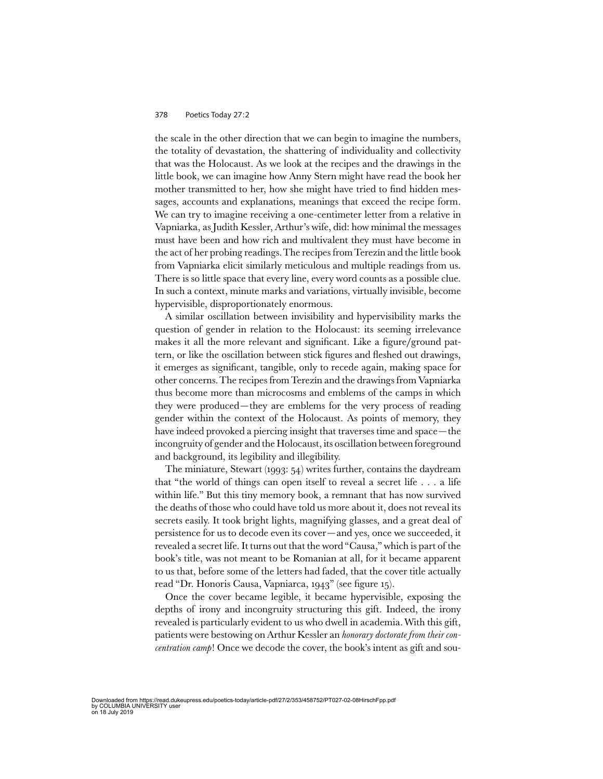the scale in the other direction that we can begin to imagine the numbers, the totality of devastation, the shattering of individuality and collectivity that was the Holocaust. As we look at the recipes and the drawings in the little book, we can imagine how Anny Stern might have read the book her mother transmitted to her, how she might have tried to find hidden messages, accounts and explanations, meanings that exceed the recipe form. We can try to imagine receiving a one-centimeter letter from a relative in Vapniarka, as Judith Kessler, Arthur's wife, did: how minimal the messages must have been and how rich and multivalent they must have become in the act of her probing readings.The recipes from Terezín and the little book from Vapniarka elicit similarly meticulous and multiple readings from us. There is so little space that every line, every word counts as a possible clue. In such a context, minute marks and variations, virtually invisible, become hypervisible, disproportionately enormous.

A similar oscillation between invisibility and hypervisibility marks the question of gender in relation to the Holocaust: its seeming irrelevance makes it all the more relevant and significant. Like a figure/ground pattern, or like the oscillation between stick figures and fleshed out drawings, it emerges as significant, tangible, only to recede again, making space for other concerns.The recipes from Terezín and the drawings from Vapniarka thus become more than microcosms and emblems of the camps in which they were produced—they are emblems for the very process of reading gender within the context of the Holocaust. As points of memory, they have indeed provoked a piercing insight that traverses time and space—the incongruity of gender and the Holocaust, its oscillation between foreground and background, its legibility and illegibility.

The miniature, Stewart (1993: 54) writes further, contains the daydream that ''the world of things can open itself to reveal a secret life . . . a life within life.'' But this tiny memory book, a remnant that has now survived the deaths of those who could have told us more about it, does not reveal its secrets easily. It took bright lights, magnifying glasses, and a great deal of persistence for us to decode even its cover—and yes, once we succeeded, it revealed a secret life. It turns out that the word ''Causa,'' which is part of the book's title, was not meant to be Romanian at all, for it became apparent to us that, before some of the letters had faded, that the cover title actually read "Dr. Honoris Causa, Vapniarca, 1943" (see figure 15).

Once the cover became legible, it became hypervisible, exposing the depths of irony and incongruity structuring this gift. Indeed, the irony revealed is particularly evident to us who dwell in academia.With this gift, patients were bestowing on Arthur Kessler an honorary doctorate from their concentration camp! Once we decode the cover, the book's intent as gift and sou-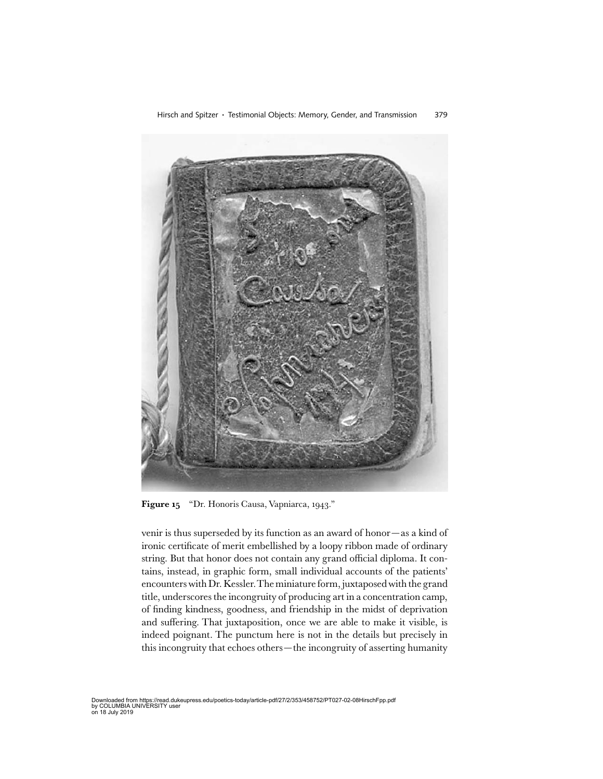

Figure 15 ''Dr. Honoris Causa, Vapniarca, 1943.''

venir is thus superseded by its function as an award of honor—as a kind of ironic certificate of merit embellished by a loopy ribbon made of ordinary string. But that honor does not contain any grand official diploma. It contains, instead, in graphic form, small individual accounts of the patients' encounters with Dr. Kessler.The miniature form, juxtaposed with the grand title, underscores the incongruity of producing art in a concentration camp, of finding kindness, goodness, and friendship in the midst of deprivation and suffering. That juxtaposition, once we are able to make it visible, is indeed poignant. The punctum here is not in the details but precisely in this incongruity that echoes others—the incongruity of asserting humanity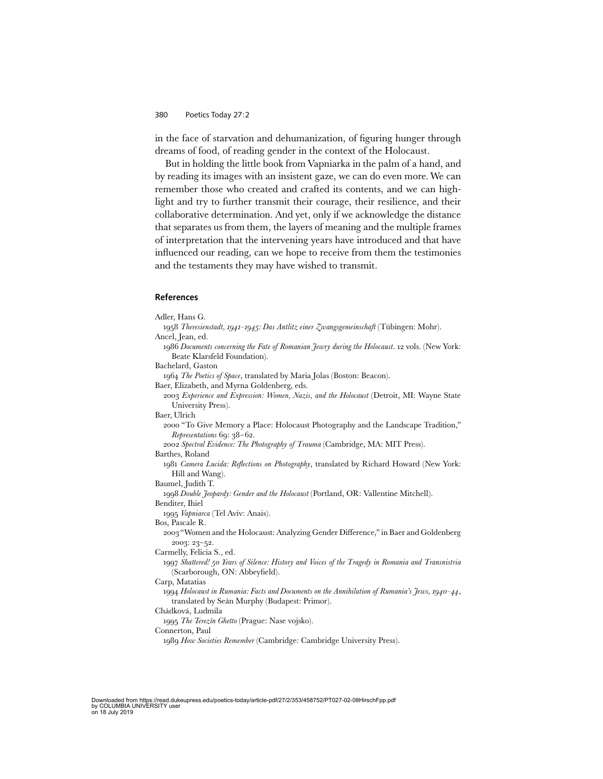in the face of starvation and dehumanization, of figuring hunger through dreams of food, of reading gender in the context of the Holocaust.

But in holding the little book from Vapniarka in the palm of a hand, and by reading its images with an insistent gaze, we can do even more. We can remember those who created and crafted its contents, and we can highlight and try to further transmit their courage, their resilience, and their collaborative determination. And yet, only if we acknowledge the distance that separates us from them, the layers of meaning and the multiple frames of interpretation that the intervening years have introduced and that have influenced our reading, can we hope to receive from them the testimonies and the testaments they may have wished to transmit.

## References

| Adler, Hans G.                                                                                     |
|----------------------------------------------------------------------------------------------------|
| 1958 Theresienstadt, 1941–1945: Das Antlitz einer Zwangsgemeinschaft (Tübingen: Mohr).             |
| Ancel, Jean, ed.                                                                                   |
| 1986 Documents concerning the Fate of Romanian Jewry during the Holocaust. 12 vols. (New York:     |
| Beate Klarsfeld Foundation).                                                                       |
| Bachelard, Gaston                                                                                  |
| 1964 The Poetics of Space, translated by Maria Jolas (Boston: Beacon).                             |
| Baer, Elizabeth, and Myrna Goldenberg, eds.                                                        |
| 2003 Experience and Expression: Women, Nazis, and the Holocaust (Detroit, MI: Wayne State          |
| University Press).                                                                                 |
| Baer, Ulrich                                                                                       |
| 2000 "To Give Memory a Place: Holocaust Photography and the Landscape Tradition,"                  |
| Representations 69: 38-62.                                                                         |
| 2002 Spectral Evidence: The Photography of Trauma (Cambridge, MA: MIT Press).                      |
| Barthes, Roland                                                                                    |
| 1981 Camera Lucida: Reflections on Photography, translated by Richard Howard (New York:            |
| Hill and Wang).                                                                                    |
| Baumel, Judith T.                                                                                  |
| 1998 Double Jeopardy: Gender and the Holocaust (Portland, OR: Vallentine Mitchell).                |
| Benditer, Ihiel                                                                                    |
|                                                                                                    |
| 1995 Vapniarca (Tel Aviv: Anais).                                                                  |
| Bos, Pascale R.                                                                                    |
| 2003 "Women and the Holocaust: Analyzing Gender Difference," in Baer and Goldenberg                |
| 2003: 23-52.                                                                                       |
| Carmelly, Felicia S., ed.                                                                          |
| 1997 Shattered! 50 Years of Silence: History and Voices of the Tragedy in Romania and Transnistria |
| (Scarborough, ON: Abbeyfield).                                                                     |
| Carp, Matatias                                                                                     |
| 1994 Holocaust in Rumania: Facts and Documents on the Annihilation of Rumania's Jews, 1940-44,     |
| translated by Seán Murphy (Budapest: Primor).                                                      |
| Chádková, Ludmila                                                                                  |
| 1995 The Terezín Ghetto (Prague: Nase vojsko).                                                     |
| Connerton, Paul                                                                                    |
| 1989 How Societies Remember (Cambridge: Cambridge University Press).                               |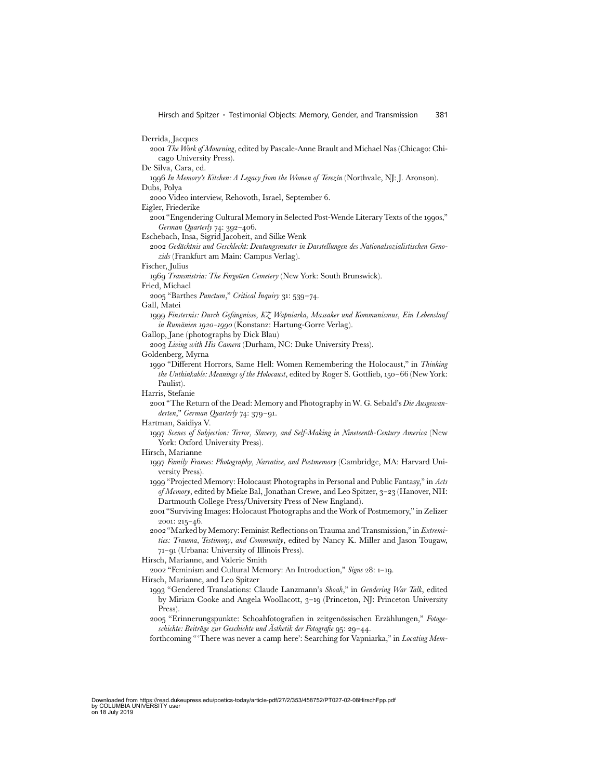| Derrida, Jacques |  |
|------------------|--|
|------------------|--|

2001 The Work of Mourning, edited by Pascale-Anne Brault and Michael Nas (Chicago: Chicago University Press).

De Silva, Cara, ed.

1996 In Memory's Kitchen: A Legacy from the Women of Terezín (Northvale, NJ: J. Aronson). Dubs, Polya

2000 Video interview, Rehovoth, Israel, September 6.

- Eigler, Friederike
	- 2001 ''Engendering Cultural Memory in Selected Post-Wende Literary Texts of the 1990s,'' German Quarterly 74: 392–406.
- Eschebach, Insa, Sigrid Jacobeit, and Silke Wenk
	- 2002 Gedächtnis und Geschlecht: Deutungsmuster in Darstellungen des Nationalsozialistischen Genozids (Frankfurt am Main: Campus Verlag).

Fischer, Julius

1969 Transnistria: The Forgotten Cemetery (New York: South Brunswick).

- Fried, Michael
- 2005 ''Barthes Punctum,'' Critical Inquiry 31: 539–74.

#### Gall, Matei

1999 Finsternis: Durch Gefängnisse, KZ Wapniarka, Massaker und Kommunismus, Ein Lebenslauf in Rumänien 1920–1990 (Konstanz: Hartung-Gorre Verlag).

Gallop, Jane (photographs by Dick Blau)

2003 Living with His Camera (Durham, NC: Duke University Press).

Goldenberg, Myrna

1990 ''Different Horrors, Same Hell: Women Remembering the Holocaust,'' in Thinking the Unthinkable: Meanings of the Holocaust, edited by Roger S. Gottlieb, 150–66 (New York: Paulist).

#### Harris, Stefanie

2001 ''The Return of the Dead: Memory and Photography in W. G. Sebald's Die Ausgewanderten," German Quarterly 74: 379-91.

#### Hartman, Saidiya V.

1997 Scenes of Subjection: Terror, Slavery, and Self-Making in Nineteenth-Century America (New York: Oxford University Press).

#### Hirsch, Marianne

- 1997 Family Frames: Photography, Narrative, and Postmemory (Cambridge, MA: Harvard University Press).
- 1999 "Projected Memory: Holocaust Photographs in Personal and Public Fantasy," in Acts of Memory, edited by Mieke Bal, Jonathan Crewe, and Leo Spitzer, 3–23 (Hanover, NH: Dartmouth College Press/University Press of New England).
- 2001 ''Surviving Images: Holocaust Photographs and the Work of Postmemory,'' in Zelizer 2001: 215–46.
- 2002 "Marked by Memory: Feminist Reflections on Trauma and Transmission," in Extremities: Trauma, Testimony, and Community, edited by Nancy K. Miller and Jason Tougaw, 71–91 (Urbana: University of Illinois Press).

Hirsch, Marianne, and Valerie Smith

2002 ''Feminism and Cultural Memory: An Introduction,'' Signs 28: 1–19.

Hirsch, Marianne, and Leo Spitzer

- 1993 "Gendered Translations: Claude Lanzmann's Shoah," in Gendering War Talk, edited by Miriam Cooke and Angela Woollacott, 3–19 (Princeton, NJ: Princeton University Press).
- 2005 "Erinnerungspunkte: Schoahfotografien in zeitgenössischen Erzählungen," Fotogeschichte: Beiträge zur Geschichte und Ästhetik der Fotografie 95: 29–44.
- forthcoming "'There was never a camp here': Searching for Vapniarka," in Locating Mem-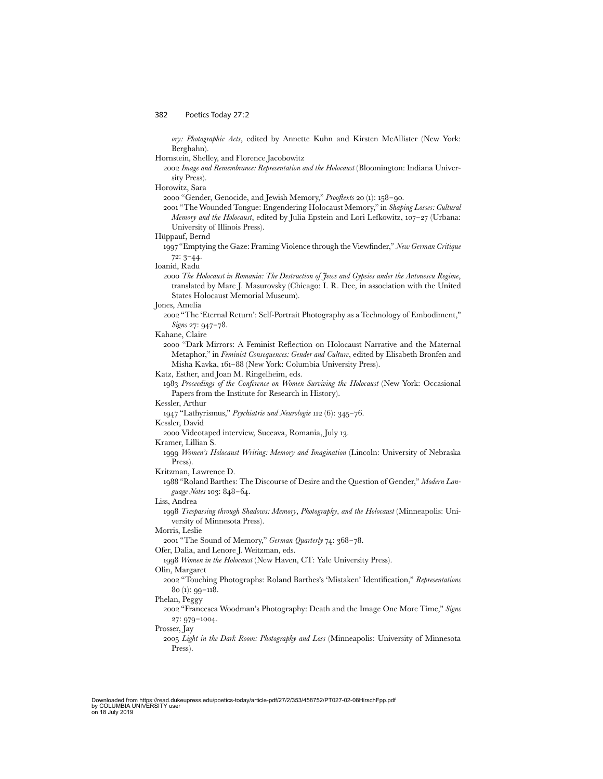ory: Photographic Acts, edited by Annette Kuhn and Kirsten McAllister (New York: Berghahn).

- Hornstein, Shelley, and Florence Jacobowitz
- 2002 Image and Remembrance: Representation and the Holocaust (Bloomington: Indiana University Press).

Horowitz, Sara

2000 ''Gender, Genocide, and Jewish Memory,'' Prooftexts 20 (1): 158–90.

2001 ''The Wounded Tongue: Engendering Holocaust Memory,'' in Shaping Losses: Cultural Memory and the Holocaust, edited by Julia Epstein and Lori Lefkowitz, 107–27 (Urbana: University of Illinois Press).

Hüppauf, Bernd

1997 "Emptying the Gaze: Framing Violence through the Viewfinder," New German Critique 72: 3–44.

Ioanid, Radu

2000 The Holocaust in Romania: The Destruction of Jews and Gypsies under the Antonescu Regime, translated by Marc J. Masurovsky (Chicago: I. R. Dee, in association with the United States Holocaust Memorial Museum).

Jones, Amelia

2002 ''The 'Eternal Return': Self-Portrait Photography as a Technology of Embodiment,'' Signs 27: 947-78.

Kahane, Claire

- 2000 ''Dark Mirrors: A Feminist Reflection on Holocaust Narrative and the Maternal Metaphor," in Feminist Consequences: Gender and Culture, edited by Elisabeth Bronfen and Misha Kavka, 161–88 (New York: Columbia University Press).
- Katz, Esther, and Joan M. Ringelheim, eds.
	- 1983 Proceedings of the Conference on Women Surviving the Holocaust (New York: Occasional Papers from the Institute for Research in History).

#### Kessler, Arthur

1947 ''Lathyrismus,'' Psychiatrie und Neurologie 112 (6): 345–76.

Kessler, David

2000 Videotaped interview, Suceava, Romania, July 13.

#### Kramer, Lillian S.

1999 Women's Holocaust Writing: Memory and Imagination (Lincoln: University of Nebraska Press).

Kritzman, Lawrence D.

1988 "Roland Barthes: The Discourse of Desire and the Question of Gender," Modern Language Notes 103: 848–64.

Liss, Andrea

1998 Trespassing through Shadows: Memory, Photography, and the Holocaust (Minneapolis: University of Minnesota Press).

Morris, Leslie

2001 ''The Sound of Memory,'' German Quarterly 74: 368–78.

Ofer, Dalia, and Lenore J. Weitzman, eds.

1998 Women in the Holocaust (New Haven, CT: Yale University Press).

Olin, Margaret

2002 "Touching Photographs: Roland Barthes's 'Mistaken' Identification," Representations 80 (1): 99–118.

Phelan, Peggy

2002 "Francesca Woodman's Photography: Death and the Image One More Time," Signs 27: 979–1004.

Prosser, Jay

2005 Light in the Dark Room: Photography and Loss (Minneapolis: University of Minnesota Press).